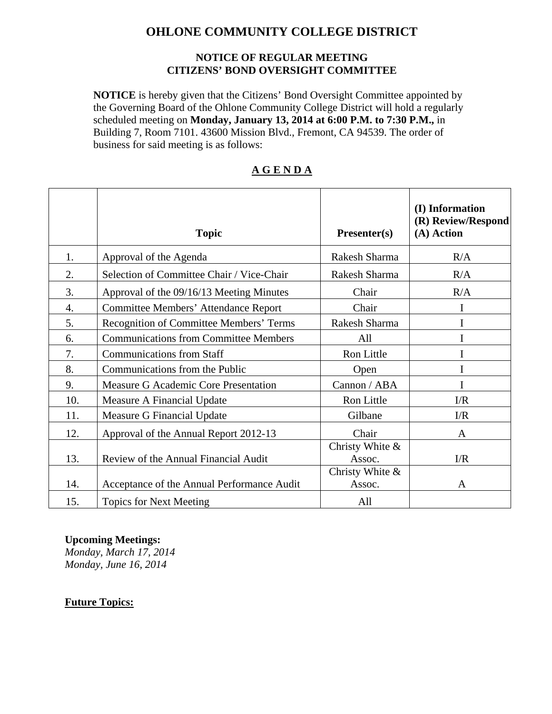# **OHLONE COMMUNITY COLLEGE DISTRICT**

#### **NOTICE OF REGULAR MEETING CITIZENS' BOND OVERSIGHT COMMITTEE**

**NOTICE** is hereby given that the Citizens' Bond Oversight Committee appointed by the Governing Board of the Ohlone Community College District will hold a regularly scheduled meeting on **Monday, January 13, 2014 at 6:00 P.M. to 7:30 P.M.,** in Building 7, Room 7101. 43600 Mission Blvd., Fremont, CA 94539. The order of business for said meeting is as follows:

|     | <b>Topic</b>                                   | Presenter(s)              | (I) Information<br>(R) Review/Respond<br>(A) Action |
|-----|------------------------------------------------|---------------------------|-----------------------------------------------------|
| 1.  | Approval of the Agenda                         | Rakesh Sharma             | R/A                                                 |
| 2.  | Selection of Committee Chair / Vice-Chair      | Rakesh Sharma             | R/A                                                 |
| 3.  | Approval of the 09/16/13 Meeting Minutes       | Chair                     | R/A                                                 |
| 4.  | <b>Committee Members' Attendance Report</b>    | Chair                     | I                                                   |
| 5.  | <b>Recognition of Committee Members' Terms</b> | Rakesh Sharma             | I                                                   |
| 6.  | <b>Communications from Committee Members</b>   | All                       | I                                                   |
| 7.  | <b>Communications from Staff</b>               | Ron Little                | I                                                   |
| 8.  | Communications from the Public                 | Open                      | I                                                   |
| 9.  | Measure G Academic Core Presentation           | Cannon / ABA              | I                                                   |
| 10. | Measure A Financial Update                     | Ron Little                | $\Gamma/R$                                          |
| 11. | Measure G Financial Update                     | Gilbane                   | $\Gamma/R$                                          |
| 12. | Approval of the Annual Report 2012-13          | Chair                     | A                                                   |
| 13. | Review of the Annual Financial Audit           | Christy White &<br>Assoc. | I/R                                                 |
| 14. | Acceptance of the Annual Performance Audit     | Christy White &<br>Assoc. | A                                                   |
| 15. | <b>Topics for Next Meeting</b>                 | All                       |                                                     |

### **A G E N D A**

#### **Upcoming Meetings:**

*Monday, March 17, 2014 Monday, June 16, 2014* 

#### **Future Topics:**